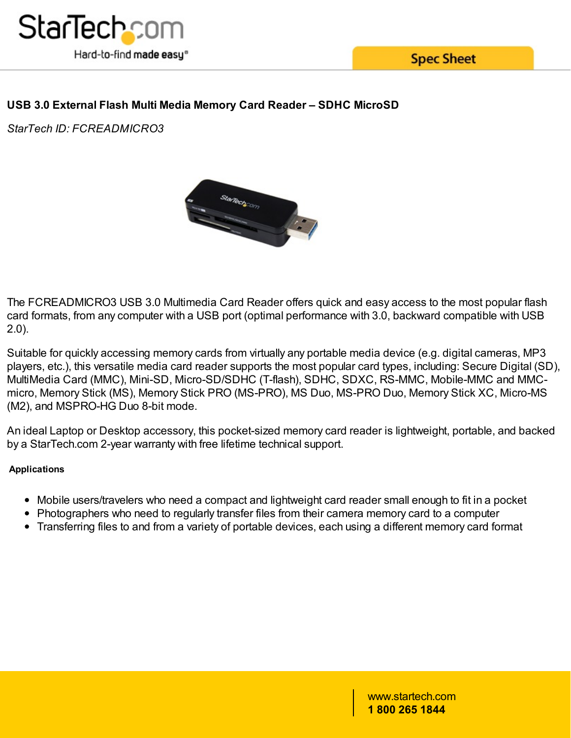

**Spec Sheet** 

## **USB 3.0 External Flash Multi Media Memory Card Reader – SDHC MicroSD**

*StarTech ID: FCREADMICRO3*



The FCREADMICRO3 USB 3.0 Multimedia Card Reader offers quick and easy access to the most popular flash card formats, from any computer with a USB port (optimal performance with 3.0, backward compatible with USB 2.0).

Suitable for quickly accessing memory cards from virtually any portable media device (e.g. digital cameras, MP3 players, etc.), this versatile media card reader supports the most popular card types, including: Secure Digital (SD), MultiMedia Card (MMC), Mini-SD, Micro-SD/SDHC (T-flash), SDHC, SDXC, RS-MMC, Mobile-MMC and MMCmicro, Memory Stick (MS), Memory Stick PRO (MS-PRO), MS Duo, MS-PRO Duo, Memory Stick XC, Micro-MS (M2), and MSPRO-HG Duo 8-bit mode.

An ideal Laptop or Desktop accessory, this pocket-sized memory card reader is lightweight, portable, and backed by a StarTech.com 2-year warranty with free lifetime technical support.

### **Applications**

- Mobile users/travelers who need a compact and lightweight card reader small enough to fit in a pocket
- Photographers who need to regularly transfer files from their camera memory card to a computer
- Transferring files to and from a variety of portable devices, each using a different memory card format

www.startech.com **1 800 265 1844**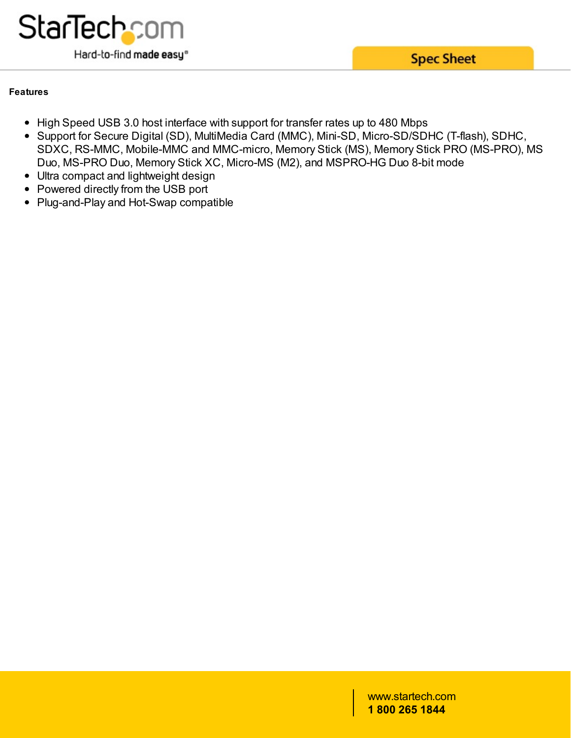

**Spec Sheet** 

### **Features**

- High Speed USB 3.0 host interface with support for transfer rates up to 480 Mbps
- Support for Secure Digital (SD), MultiMedia Card (MMC), Mini-SD, Micro-SD/SDHC (T-flash), SDHC, SDXC, RS-MMC, Mobile-MMC and MMC-micro, Memory Stick (MS), Memory Stick PRO (MS-PRO), MS Duo, MS-PRO Duo, Memory Stick XC, Micro-MS (M2), and MSPRO-HG Duo 8-bit mode
- Ultra compact and lightweight design
- Powered directly from the USB port
- Plug-and-Play and Hot-Swap compatible

www.startech.com **1 800 265 1844**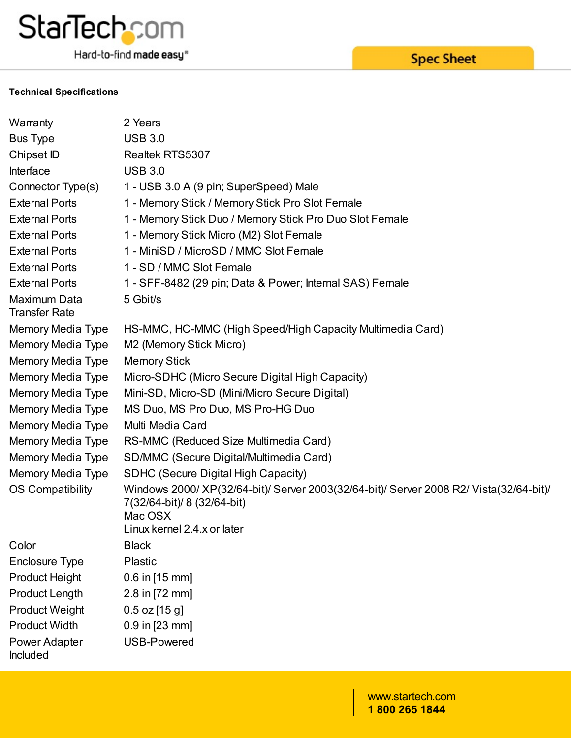

Hard-to-find made easy®

#### **Technical Specifications**

| Warranty                             | 2 Years                                                                                                                                                        |
|--------------------------------------|----------------------------------------------------------------------------------------------------------------------------------------------------------------|
| <b>Bus Type</b>                      | <b>USB 3.0</b>                                                                                                                                                 |
| Chipset ID                           | Realtek RTS5307                                                                                                                                                |
| Interface                            | <b>USB 3.0</b>                                                                                                                                                 |
| Connector Type(s)                    | 1 - USB 3.0 A (9 pin; SuperSpeed) Male                                                                                                                         |
| <b>External Ports</b>                | 1 - Memory Stick / Memory Stick Pro Slot Female                                                                                                                |
| <b>External Ports</b>                | 1 - Memory Stick Duo / Memory Stick Pro Duo Slot Female                                                                                                        |
| <b>External Ports</b>                | 1 - Memory Stick Micro (M2) Slot Female                                                                                                                        |
| <b>External Ports</b>                | 1 - MiniSD / MicroSD / MMC Slot Female                                                                                                                         |
| <b>External Ports</b>                | 1 - SD / MMC Slot Female                                                                                                                                       |
| <b>External Ports</b>                | 1 - SFF-8482 (29 pin; Data & Power; Internal SAS) Female                                                                                                       |
| Maximum Data<br><b>Transfer Rate</b> | 5 Gbit/s                                                                                                                                                       |
| Memory Media Type                    | HS-MMC, HC-MMC (High Speed/High Capacity Multimedia Card)                                                                                                      |
| Memory Media Type                    | M2 (Memory Stick Micro)                                                                                                                                        |
| Memory Media Type                    | <b>Memory Stick</b>                                                                                                                                            |
| Memory Media Type                    | Micro-SDHC (Micro Secure Digital High Capacity)                                                                                                                |
| Memory Media Type                    | Mini-SD, Micro-SD (Mini/Micro Secure Digital)                                                                                                                  |
| Memory Media Type                    | MS Duo, MS Pro Duo, MS Pro-HG Duo                                                                                                                              |
| Memory Media Type                    | Multi Media Card                                                                                                                                               |
| Memory Media Type                    | RS-MMC (Reduced Size Multimedia Card)                                                                                                                          |
| Memory Media Type                    | SD/MMC (Secure Digital/Multimedia Card)                                                                                                                        |
| Memory Media Type                    | SDHC (Secure Digital High Capacity)                                                                                                                            |
| <b>OS Compatibility</b>              | Windows 2000/XP(32/64-bit)/ Server 2003(32/64-bit)/ Server 2008 R2/ Vista(32/64-bit)/<br>7(32/64-bit)/ 8 (32/64-bit)<br>Mac OSX<br>Linux kernel 2.4.x or later |
| Color                                | <b>Black</b>                                                                                                                                                   |
| <b>Enclosure Type</b>                | Plastic                                                                                                                                                        |
| <b>Product Height</b>                | 0.6 in [15 mm]                                                                                                                                                 |
| <b>Product Length</b>                | 2.8 in [72 mm]                                                                                                                                                 |
| <b>Product Weight</b>                | $0.5$ oz $[15$ g]                                                                                                                                              |
| <b>Product Width</b>                 | $0.9$ in [23 mm]                                                                                                                                               |
| Power Adapter<br>Included            | <b>USB-Powered</b>                                                                                                                                             |